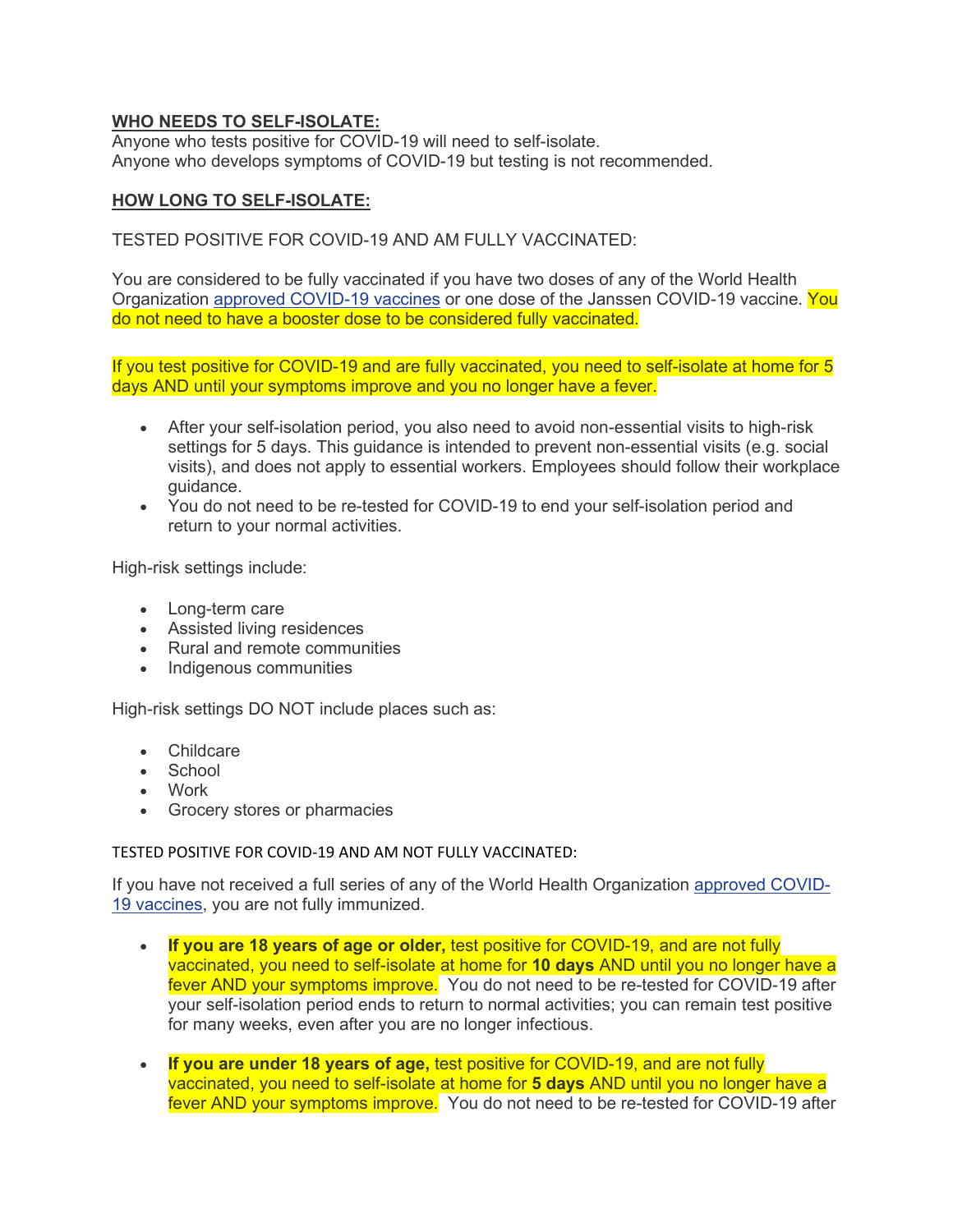## **WHO NEEDS TO SELF-ISOLATE:**

Anyone who tests positive for COVID-19 will need to self-isolate. Anyone who develops symptoms of COVID-19 but testing is not recommended.

## **HOW LONG TO SELF-ISOLATE:**

## TESTED POSITIVE FOR COVID-19 AND AM FULLY VACCINATED:

You are considered to be fully vaccinated if you have two doses of any of the World Health Organization [approved COVID-19 vaccines](http://www.bccdc.ca/Health-Info-Site/Documents/COVID-19_vaccine/WHO-EUA-qualified-covid-vaccines.pdf) or one dose of the Janssen COVID-19 vaccine. You do not need to have a booster dose to be considered fully vaccinated.

If you test positive for COVID-19 and are fully vaccinated, you need to self-isolate at home for 5 days AND until your symptoms improve and you no longer have a fever.

- After your self-isolation period, you also need to avoid non-essential visits to high-risk settings for 5 days. This guidance is intended to prevent non-essential visits (e.g. social visits), and does not apply to essential workers. Employees should follow their workplace guidance.
- You do not need to be re-tested for COVID-19 to end your self-isolation period and return to your normal activities.

High-risk settings include:

- Long-term care
- Assisted living residences
- Rural and remote communities
- Indigenous communities

High-risk settings DO NOT include places such as:

- Childcare
- School
- Work
- Grocery stores or pharmacies

TESTED POSITIVE FOR COVID-19 AND AM NOT FULLY VACCINATED:

If you have not received a full series of any of the World Health Organization [approved COVID-](http://www.bccdc.ca/Health-Info-Site/Documents/COVID-19_vaccine/WHO-EUA-qualified-covid-vaccines.pdf)[19 vaccines,](http://www.bccdc.ca/Health-Info-Site/Documents/COVID-19_vaccine/WHO-EUA-qualified-covid-vaccines.pdf) you are not fully immunized.

- **If you are 18 years of age or older,** test positive for COVID-19, and are not fully vaccinated, you need to self-isolate at home for **10 days** AND until you no longer have a fever AND your symptoms improve. You do not need to be re-tested for COVID-19 after your self-isolation period ends to return to normal activities; you can remain test positive for many weeks, even after you are no longer infectious.
- **If you are under 18 years of age,** test positive for COVID-19, and are not fully vaccinated, you need to self-isolate at home for **5 days** AND until you no longer have a fever AND your symptoms improve. You do not need to be re-tested for COVID-19 after